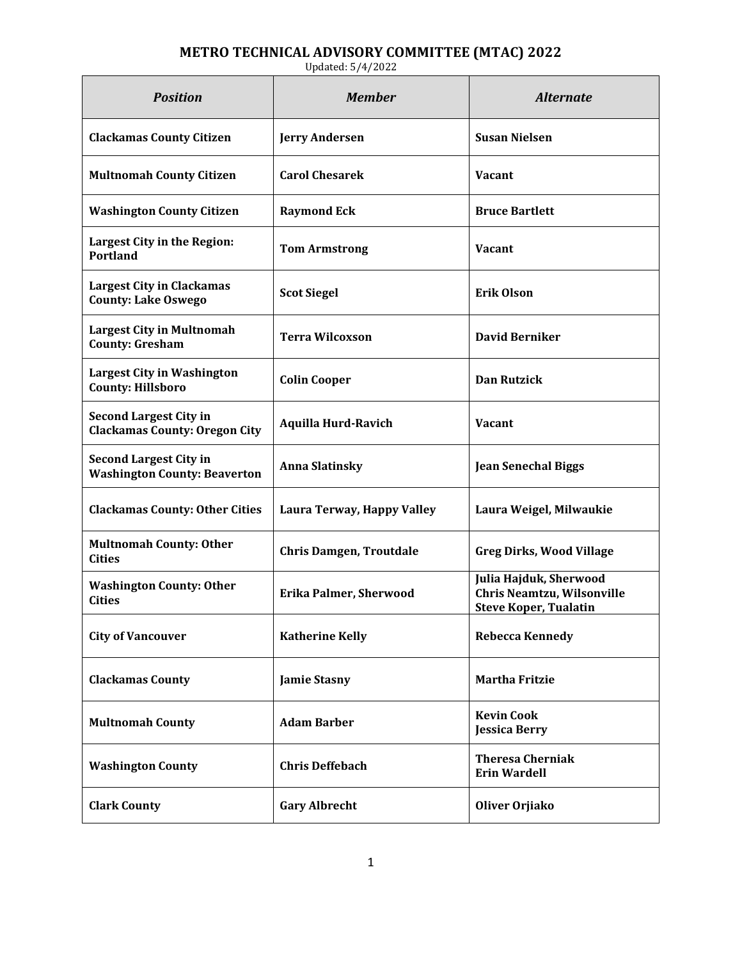## **METRO TECHNICAL ADVISORY COMMITTEE (MTAC) 2022**

| <b>Position</b>                                                       | <b>Member</b>                  | <b>Alternate</b>                                                                     |
|-----------------------------------------------------------------------|--------------------------------|--------------------------------------------------------------------------------------|
| <b>Clackamas County Citizen</b>                                       | <b>Jerry Andersen</b>          | <b>Susan Nielsen</b>                                                                 |
| <b>Multnomah County Citizen</b>                                       | <b>Carol Chesarek</b>          | <b>Vacant</b>                                                                        |
| <b>Washington County Citizen</b>                                      | <b>Raymond Eck</b>             | <b>Bruce Bartlett</b>                                                                |
| Largest City in the Region:<br><b>Portland</b>                        | <b>Tom Armstrong</b>           | <b>Vacant</b>                                                                        |
| <b>Largest City in Clackamas</b><br><b>County: Lake Oswego</b>        | <b>Scot Siegel</b>             | <b>Erik Olson</b>                                                                    |
| <b>Largest City in Multnomah</b><br><b>County: Gresham</b>            | <b>Terra Wilcoxson</b>         | <b>David Berniker</b>                                                                |
| <b>Largest City in Washington</b><br><b>County: Hillsboro</b>         | <b>Colin Cooper</b>            | <b>Dan Rutzick</b>                                                                   |
| <b>Second Largest City in</b><br><b>Clackamas County: Oregon City</b> | <b>Aquilla Hurd-Ravich</b>     | <b>Vacant</b>                                                                        |
| <b>Second Largest City in</b><br><b>Washington County: Beaverton</b>  | <b>Anna Slatinsky</b>          | <b>Jean Senechal Biggs</b>                                                           |
| <b>Clackamas County: Other Cities</b>                                 | Laura Terway, Happy Valley     | Laura Weigel, Milwaukie                                                              |
| <b>Multnomah County: Other</b><br>Cities                              | <b>Chris Damgen, Troutdale</b> | <b>Greg Dirks, Wood Village</b>                                                      |
| <b>Washington County: Other</b><br><b>Cities</b>                      | <b>Erika Palmer, Sherwood</b>  | Julia Hajduk, Sherwood<br>Chris Neamtzu, Wilsonville<br><b>Steve Koper, Tualatin</b> |
| <b>City of Vancouver</b>                                              | <b>Katherine Kelly</b>         | <b>Rebecca Kennedy</b>                                                               |
| <b>Clackamas County</b>                                               | <b>Jamie Stasny</b>            | <b>Martha Fritzie</b>                                                                |
| <b>Multnomah County</b>                                               | <b>Adam Barber</b>             | <b>Kevin Cook</b><br><b>Jessica Berry</b>                                            |
| <b>Washington County</b>                                              | <b>Chris Deffebach</b>         | <b>Theresa Cherniak</b><br><b>Erin Wardell</b>                                       |
| <b>Clark County</b>                                                   | <b>Gary Albrecht</b>           | Oliver Orjiako                                                                       |

Updated: 5/4/2022